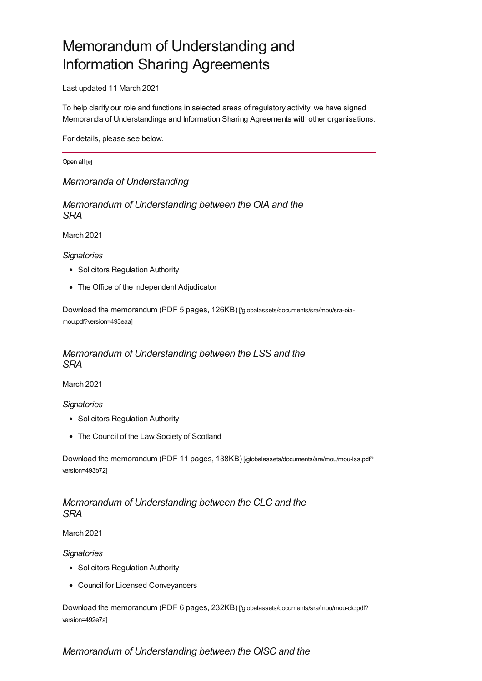# Memorandum of Understanding and Information Sharing Agreements

Last updated 11 March 2021

To help clarify our role and functions in selected areas of regulatory activity, we have signed Memoranda of Understandings and Information Sharing Agreements with other organisations.

For details, please see below.

Open all [#]

*Memoranda of [Understanding](#page-4-0)*

*Memorandum of Understanding between the OIA and the SRA*

March 2021

*Signatories*

- Solicitors Regulation Authority
- The Office of the Independent Adjudicator

Download the memorandum (PDF 5 pages, 126KB) [\[/globalassets/documents/sra/mou/sra-oia](https://www.sra.org.uk/globalassets/documents/sra/mou/sra-oia-mou.pdf?version=493eaa)mou.pdf?version=493eaa]

# *Memorandum of Understanding between the LSS and the SRA*

March 2021

*Signatories*

- Solicitors Regulation Authority
- The Council of the Law Society of Scotland

Download the memorandum (PDF 11 pages, 138KB) [\[/globalassets/documents/sra/mou/mou-lss.pdf?](https://www.sra.org.uk/globalassets/documents/sra/mou/mou-lss.pdf?version=493b72) version=493b72]

# *Memorandum of Understanding between the CLC and the SRA*

March 2021

*Signatories*

- Solicitors Regulation Authority
- Council for Licensed Conveyancers

Download the memorandum (PDF 6 pages, 232KB) [\[/globalassets/documents/sra/mou/mou-clc.pdf?](https://www.sra.org.uk/globalassets/documents/sra/mou/mou-clc.pdf?version=492e7a) version=492e7a]

*Memorandum of Understanding between the OISC and the*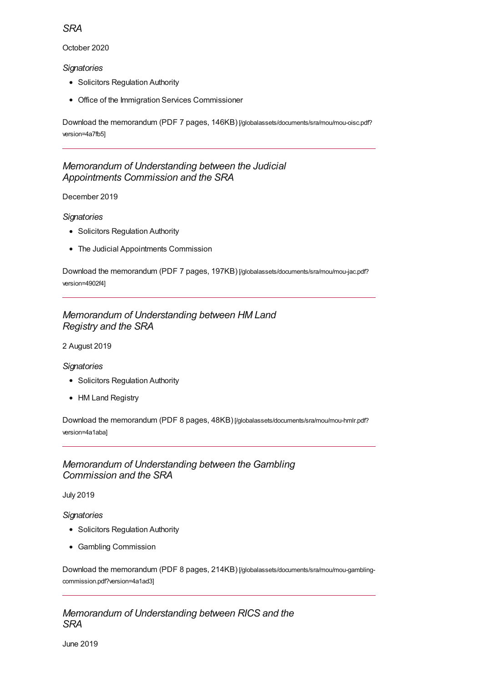# *SRA*

October 2020

### *Signatories*

- Solicitors Regulation Authority
- Office of the Immigration Services Commissioner

Download the memorandum (PDF 7 pages, 146KB) [\[/globalassets/documents/sra/mou/mou-oisc.pdf?](https://www.sra.org.uk/globalassets/documents/sra/mou/mou-oisc.pdf?version=4a7fb5) version=4a7fb5]

# *Memorandum of Understanding between the Judicial Appointments Commission and the SRA*

### December 2019

### *Signatories*

- Solicitors Regulation Authority
- The Judicial Appointments Commission

Download the memorandum (PDF 7 pages, 197KB) [\[/globalassets/documents/sra/mou/mou-jac.pdf?](https://www.sra.org.uk/globalassets/documents/sra/mou/mou-jac.pdf?version=4902f4) version=4902f4]

# *Memorandum of Understanding between HM Land Registry and the SRA*

#### 2 August 2019

### *Signatories*

- Solicitors Regulation Authority
- HM Land Registry

Download the memorandum (PDF 8 pages, 48KB) [\[/globalassets/documents/sra/mou/mou-hmlr.pdf?](https://www.sra.org.uk/globalassets/documents/sra/mou/mou-hmlr.pdf?version=4a1aba) version=4a1aba]

# *Memorandum of Understanding between the Gambling Commission and the SRA*

July 2019

### *Signatories*

- Solicitors Regulation Authority
- Gambling Commission

Download the memorandum (PDF 8 pages, 214KB) [\[/globalassets/documents/sra/mou/mou-gambling](https://www.sra.org.uk/globalassets/documents/sra/mou/mou-gambling-commission.pdf?version=4a1ad3)commission.pdf?version=4a1ad3]

# *Memorandum of Understanding between RICS and the SRA*

June 2019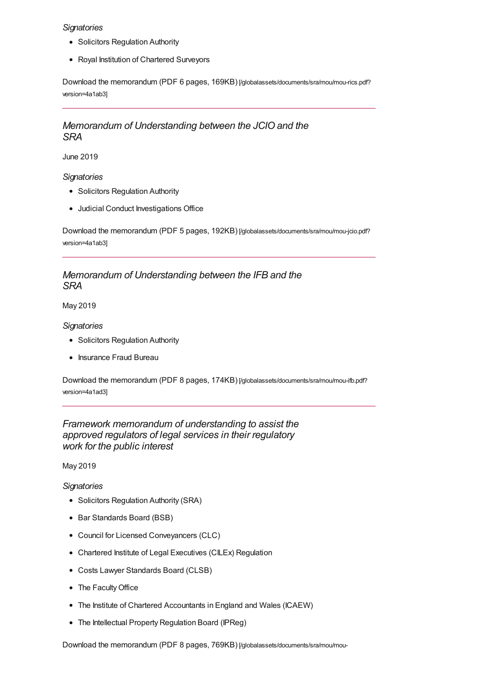#### *Signatories*

- Solicitors Regulation Authority
- Royal Institution of Chartered Surveyors

Download the memorandum (PDF 6 pages, 169KB) [\[/globalassets/documents/sra/mou/mou-rics.pdf?](https://www.sra.org.uk/globalassets/documents/sra/mou/mou-rics.pdf?version=4a1ab3) version=4a1ab3]

# *Memorandum of Understanding between the JCIO and the SRA*

June 2019

#### *Signatories*

- Solicitors Regulation Authority
- Judicial Conduct Investigations Office

Download the memorandum (PDF 5 pages, 192KB) [\[/globalassets/documents/sra/mou/mou-jcio.pdf?](https://www.sra.org.uk/globalassets/documents/sra/mou/mou-jcio.pdf?version=4a1ab3) version=4a1ab3]

# *Memorandum of Understanding between the IFB and the SRA*

May 2019

*Signatories*

- Solicitors Regulation Authority
- Insurance Fraud Bureau

Download the memorandum (PDF 8 pages, 174KB) [\[/globalassets/documents/sra/mou/mou-ifb.pdf?](https://www.sra.org.uk/globalassets/documents/sra/mou/mou-ifb.pdf?version=4a1ad3) version=4a1ad3]

# *Framework memorandum of understanding to assist the approved regulators of legal services in their regulatory work for the public interest*

May 2019

*Signatories*

- Solicitors Regulation Authority (SRA)
- Bar Standards Board (BSB)
- Council for Licensed Conveyancers (CLC)
- Chartered Institute of Legal Executives (CILEx) Regulation
- Costs Lawyer Standards Board (CLSB)
- The Faculty Office
- The Institute of Chartered Accountants in England and Wales (ICAEW)
- The Intellectual Property Regulation Board (IPReg)

Download the memorandum (PDF 8 pages, 769KB) [\[/globalassets/documents/sra/mou/mou-](https://www.sra.org.uk/globalassets/documents/sra/mou/mou-framework.pdf?version=4a1acc)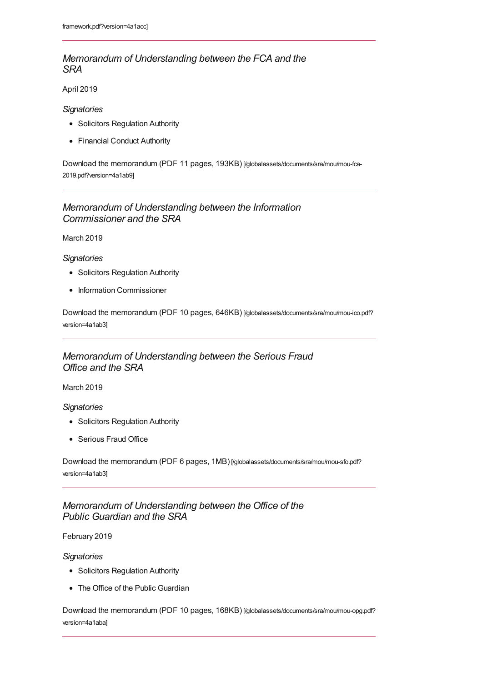# *Memorandum of Understanding between the FCA and the SRA*

April 2019

#### *Signatories*

- Solicitors Regulation Authority
- Financial Conduct Authority

Download the memorandum (PDF 11 pages, 193KB) [\[/globalassets/documents/sra/mou/mou-fca-](https://www.sra.org.uk/globalassets/documents/sra/mou/mou-fca-2019.pdf?version=4a1ab9)2019.pdf?version=4a1ab9]

# *Memorandum of Understanding between the Information Commissioner and the SRA*

March 2019

#### *Signatories*

- Solicitors Regulation Authority
- Information Commissioner

Download the memorandum (PDF 10 pages, 646KB) [\[/globalassets/documents/sra/mou/mou-ico.pdf?](https://www.sra.org.uk/globalassets/documents/sra/mou/mou-ico.pdf?version=4a1ab3) version=4a1ab3]

# *Memorandum of Understanding between the Serious Fraud Office and the SRA*

March 2019

#### *Signatories*

- Solicitors Regulation Authority
- Serious Fraud Office

Download the memorandum (PDF 6 pages, 1MB) [\[/globalassets/documents/sra/mou/mou-sfo.pdf?](https://www.sra.org.uk/globalassets/documents/sra/mou/mou-sfo.pdf?version=4a1ab3) version=4a1ab3]

# *Memorandum of Understanding between the Office of the Public Guardian and the SRA*

#### February 2019

*Signatories*

- Solicitors Regulation Authority
- The Office of the Public Guardian

Download the memorandum (PDF 10 pages, 168KB) [\[/globalassets/documents/sra/mou/mou-opg.pdf?](https://www.sra.org.uk/globalassets/documents/sra/mou/mou-opg.pdf?version=4a1aba) version=4a1aba]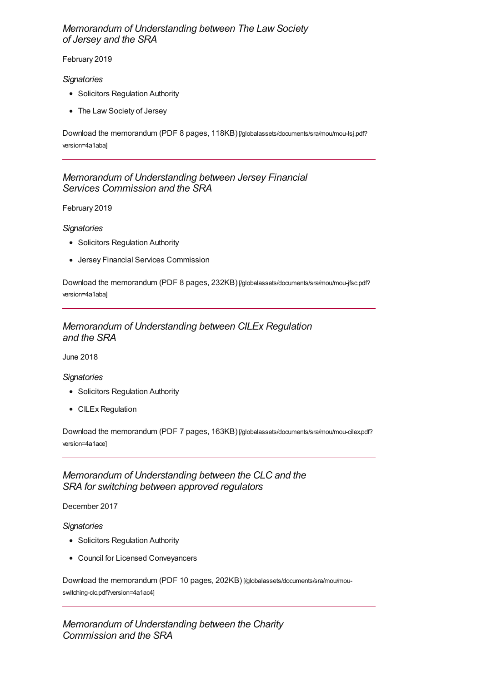# <span id="page-4-0"></span>*Memorandum of Understanding between The Law Society of Jersey and the SRA*

#### February 2019

#### *Signatories*

- Solicitors Regulation Authority
- The Law Society of Jersey

Download the memorandum (PDF 8 pages, 118KB) [\[/globalassets/documents/sra/mou/mou-lsj.pdf?](https://www.sra.org.uk/globalassets/documents/sra/mou/mou-lsj.pdf?version=4a1aba) version=4a1aba]

# *Memorandum of Understanding between Jersey Financial Services Commission and the SRA*

February 2019

*Signatories*

- Solicitors Regulation Authority
- Jersey Financial Services Commission

Download the memorandum (PDF 8 pages, 232KB) [\[/globalassets/documents/sra/mou/mou-jfsc.pdf?](https://www.sra.org.uk/globalassets/documents/sra/mou/mou-jfsc.pdf?version=4a1aba) version=4a1aba]

# *Memorandum of Understanding between CILEx Regulation and the SRA*

June 2018

#### *Signatories*

- Solicitors Regulation Authority
- CILEx Regulation

Download the memorandum (PDF 7 pages, 163KB) [\[/globalassets/documents/sra/mou/mou-cilex.pdf?](https://www.sra.org.uk/globalassets/documents/sra/mou/mou-cilex.pdf?version=4a1ace) version=4a1ace]

### *Memorandum of Understanding between the CLC and the SRA for switching between approved regulators*

December 2017

*Signatories*

- Solicitors Regulation Authority
- Council for Licensed Conveyancers

Download the memorandum (PDF 10 pages, 202KB) [\[/globalassets/documents/sra/mou/mou](https://www.sra.org.uk/globalassets/documents/sra/mou/mou-switching-clc.pdf?version=4a1ac4)switching-clc.pdf?version=4a1ac4]

# *Memorandum of Understanding between the Charity Commission and the SRA*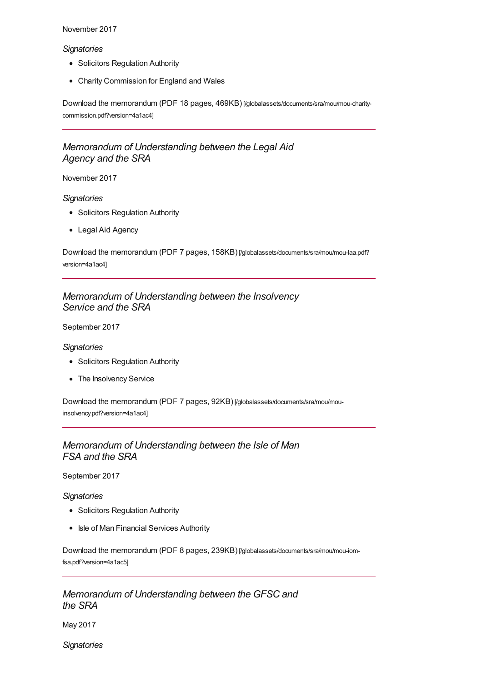#### November 2017

#### *Signatories*

- Solicitors Regulation Authority
- Charity Commission for England and Wales

Download the memorandum (PDF 18 pages, 469KB) [\[/globalassets/documents/sra/mou/mou-charity](https://www.sra.org.uk/globalassets/documents/sra/mou/mou-charity-commission.pdf?version=4a1ac4)commission.pdf?version=4a1ac4]

# *Memorandum of Understanding between the Legal Aid Agency and the SRA*

#### November 2017

#### *Signatories*

- Solicitors Regulation Authority
- Legal Aid Agency

Download the memorandum (PDF 7 pages, 158KB) [\[/globalassets/documents/sra/mou/mou-laa.pdf?](https://www.sra.org.uk/globalassets/documents/sra/mou/mou-laa.pdf?version=4a1ac4) version=4a1ac4]

# *Memorandum of Understanding between the Insolvency Service and the SRA*

September 2017

#### *Signatories*

- Solicitors Regulation Authority
- The Insolvency Service

Download the memorandum (PDF 7 pages, 92KB) [\[/globalassets/documents/sra/mou/mou](https://www.sra.org.uk/globalassets/documents/sra/mou/mou-insolvency.pdf?version=4a1ac4)insolvency.pdf?version=4a1ac4]

### *Memorandum of Understanding between the Isle of Man FSA and the SRA*

September 2017

#### *Signatories*

- Solicitors Regulation Authority
- Isle of Man Financial Services Authority

Download the memorandum (PDF 8 pages, 239KB) [\[/globalassets/documents/sra/mou/mou-iom](https://www.sra.org.uk/globalassets/documents/sra/mou/mou-iom-fsa.pdf?version=4a1ac5)fsa.pdf?version=4a1ac5]

### *Memorandum of Understanding between the GFSC and the SRA*

May 2017

*Signatories*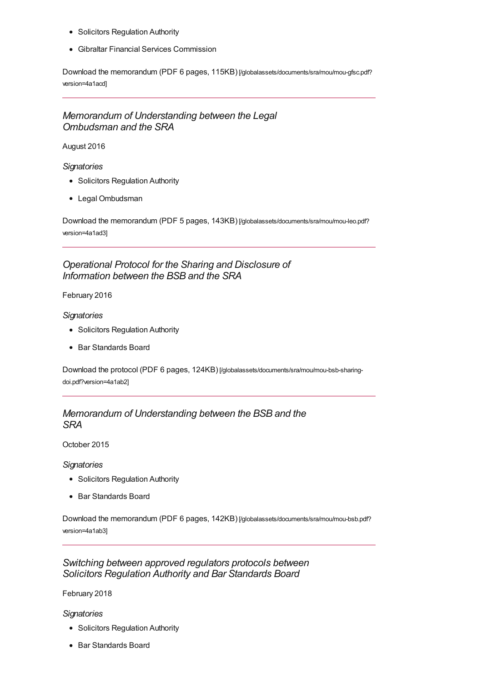- Solicitors Regulation Authority
- Gibraltar Financial Services Commission

Download the memorandum (PDF 6 pages, 115KB) [\[/globalassets/documents/sra/mou/mou-gfsc.pdf?](https://www.sra.org.uk/globalassets/documents/sra/mou/mou-gfsc.pdf?version=4a1acd) version=4a1acd]

# *Memorandum of Understanding between the Legal Ombudsman and the SRA*

August 2016

*Signatories*

- Solicitors Regulation Authority
- Legal Ombudsman

Download the memorandum (PDF 5 pages, 143KB) [\[/globalassets/documents/sra/mou/mou-leo.pdf?](https://www.sra.org.uk/globalassets/documents/sra/mou/mou-leo.pdf?version=4a1ad3) version=4a1ad3]

### *Operational Protocol for the Sharing and Disclosure of Information between the BSB and the SRA*

February 2016

#### *Signatories*

- Solicitors Regulation Authority
- Bar Standards Board

Download the protocol (PDF 6 pages, 124KB) [\[/globalassets/documents/sra/mou/mou-bsb-sharing](https://www.sra.org.uk/globalassets/documents/sra/mou/mou-bsb-sharing-doi.pdf?version=4a1ab2)doi.pdf?version=4a1ab2]

### *Memorandum of Understanding between the BSB and the SRA*

October 2015

*Signatories*

- Solicitors Regulation Authority
- Bar Standards Board

Download the memorandum (PDF 6 pages, 142KB) [\[/globalassets/documents/sra/mou/mou-bsb.pdf?](https://www.sra.org.uk/globalassets/documents/sra/mou/mou-bsb.pdf?version=4a1ab3) version=4a1ab3]

### *Switching between approved regulators protocols between Solicitors Regulation Authority and Bar Standards Board*

February 2018

#### *Signatories*

- Solicitors Regulation Authority
- Bar Standards Board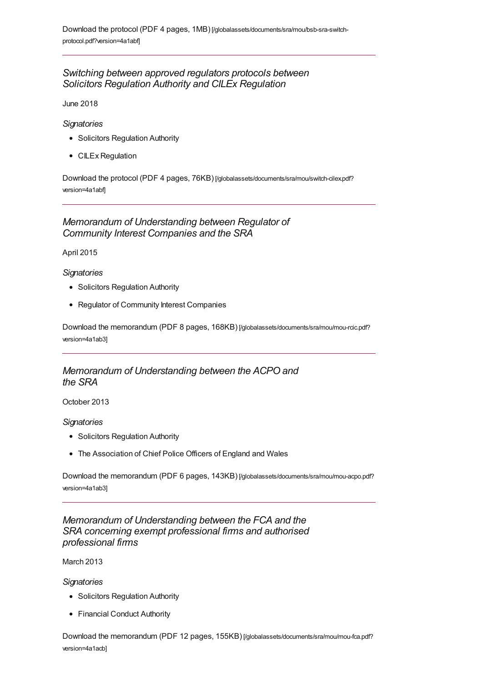# *Switching between approved regulators protocols between Solicitors Regulation Authority and CILEx Regulation*

June 2018

#### *Signatories*

- Solicitors Regulation Authority
- CILEx Regulation

Download the protocol (PDF 4 pages, 76KB) [\[/globalassets/documents/sra/mou/switch-cilex.pdf?](https://www.sra.org.uk/globalassets/documents/sra/mou/switch-cilex.pdf?version=4a1abf) version=4a1abf]

# *Memorandum of Understanding between Regulator of Community Interest Companies and the SRA*

April 2015

#### *Signatories*

- Solicitors Regulation Authority
- Regulator of Community Interest Companies

Download the memorandum (PDF 8 pages, 168KB) [\[/globalassets/documents/sra/mou/mou-rcic.pdf?](https://www.sra.org.uk/globalassets/documents/sra/mou/mou-rcic.pdf?version=4a1ab3) version=4a1ab3]

# *Memorandum of Understanding between the ACPO and the SRA*

October 2013

#### *Signatories*

- Solicitors Regulation Authority
- The Association of Chief Police Officers of England and Wales

Download the memorandum (PDF 6 pages, 143KB) [\[/globalassets/documents/sra/mou/mou-acpo.pdf?](https://www.sra.org.uk/globalassets/documents/sra/mou/mou-acpo.pdf?version=4a1ab3) version=4a1ab3]

*Memorandum of Understanding between the FCA and the SRA concerning exempt professional firms and authorised professional firms*

March 2013

*Signatories*

- Solicitors Regulation Authority
- Financial Conduct Authority

Download the memorandum (PDF 12 pages, 155KB) [\[/globalassets/documents/sra/mou/mou-fca.pdf?](https://www.sra.org.uk/globalassets/documents/sra/mou/mou-fca.pdf?version=4a1acb) version=4a1acb]